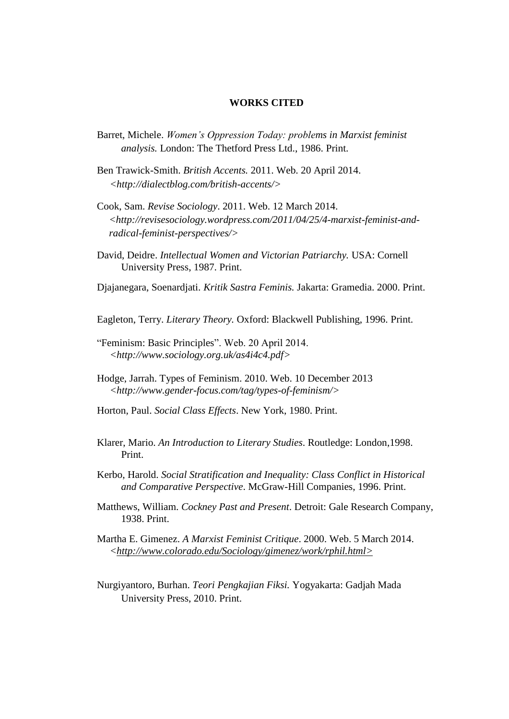## **WORKS CITED**

- Barret, Michele. *Women's Oppression Today: problems in Marxist feminist analysis.* London: The Thetford Press Ltd., 1986. Print.
- Ben Trawick-Smith. *British Accents.* 2011. Web. 20 April 2014.  *[<http://dialectblog.com/british-accents/>](http://dialectblog.com/british-accents/)*
- [Cook,](http://revisesociology.wordpress.com/author/samcook1994/) Sam. *[Revise Sociology](http://revisesociology.wordpress.com/)*. 2011. Web. 12 March 2014. *[<http://revisesociology.wordpress.com/2011/04/25/4-marxist-feminist-and](http://revisesociology.wordpress.com/2011/04/25/4-marxist-feminist-and-%20%20%20%20radical-feminist-perspectives/)[radical-feminist-perspectives/>](http://revisesociology.wordpress.com/2011/04/25/4-marxist-feminist-and-%20%20%20%20radical-feminist-perspectives/)*
- David, Deidre. *Intellectual Women and Victorian Patriarchy.* USA: Cornell University Press, 1987. Print.
- Djajanegara, Soenardjati. *Kritik Sastra Feminis.* Jakarta: Gramedia. 2000. Print.

Eagleton, Terry. *Literary Theory.* Oxford: Blackwell Publishing, 1996. Print.

- "Feminism: Basic Principles". Web. 20 April 2014.  *[<http://www.sociology.org.uk/as4i4c4.pdf>](http://www.sociology.org.uk/as4i4c4.pdf)*
- [Hodge,](http://www.gender-focus.com/author/jarrahpenguin/) Jarrah. Types of Feminism. 2010. Web. 10 December 2013  *[<http://www.gender-focus.com/tag/types-of-feminism/>](http://www.gender-focus.com/tag/types-of-feminism/)*
- Horton, Paul. *Social Class Effects*. New York, 1980. Print.
- Klarer, Mario. *An Introduction to Literary Studies*. Routledge: London,1998. Print.
- Kerbo, Harold. *Social Stratification and Inequality: Class Conflict in Historical and Comparative Perspective*. McGraw-Hill Companies, 1996. Print.
- Matthews, William. *Cockney Past and Present*. Detroit: Gale Research Company, 1938. Print.
- Martha E. Gimenez. *A Marxist Feminist Critique*. 2000. Web. 5 March 2014.  *[<http://www.colorado.edu/Sociology/gimenez/work/rphil.html>](http://www.colorado.edu/Sociology/gimenez/work/rphil.html)*
- Nurgiyantoro, Burhan. *Teori Pengkajian Fiksi.* Yogyakarta: Gadjah Mada University Press, 2010. Print.